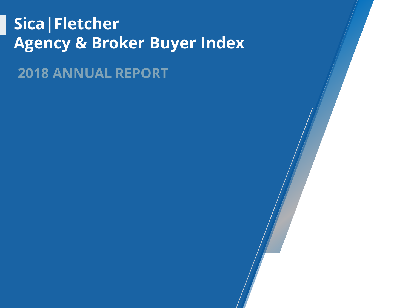## **Sica|Fletcher Agency & Broker Buyer Index**

**2018 ANNUAL REPORT**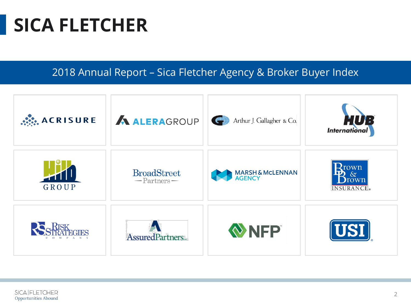## **SICA FLETCHER**

2018 Annual Report – Sica Fletcher Agency & Broker Buyer Index



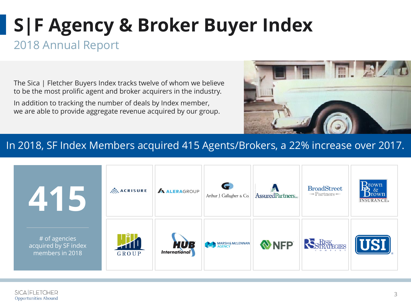### 2018 Annual Report

The Sica | Fletcher Buyers Index tracks twelve of whom we believe to be the most prolific agent and broker acquirers in the industry.

In addition to tracking the number of deals by Index member, we are able to provide aggregate revenue acquired by our group.



#### In 2018, SF Index Members acquired 415 Agents/Brokers, a 22% increase over 2017.

| 415                                                        | $\mathbb{R}^2$ ACRISURE          | <b>ALERAGROUP</b>                  | Arthur J. Gallagher & Co. | AssuredPartners | <b>BroadStreet</b><br>$-$ Partners $-$ | $\bigoplus_{\alpha}^{\text{rown}}$<br>Drown<br><b>INSURANCE</b> ® |
|------------------------------------------------------------|----------------------------------|------------------------------------|---------------------------|-----------------|----------------------------------------|-------------------------------------------------------------------|
| $#$ of agencies<br>acquired by SF index<br>members in 2018 | $\mathcal{H}^{\dagger}$<br>GROUP | <b>HUB</b><br><b>International</b> | MARSH& MCLENNAN           | NFP             | RISK                                   | USI.                                                              |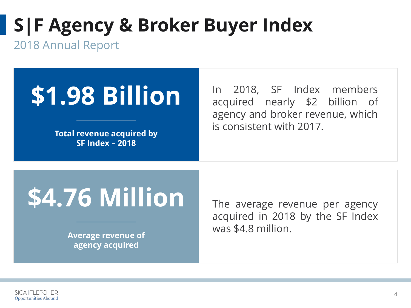2018 Annual Report

# **\$1.98 Billion**

**Total revenue acquired by SF Index – 2018**

In 2018, SF Index members acquired nearly \$2 billion of agency and broker revenue, which is consistent with 2017.

# **\$4.76 Million**

**Average revenue of agency acquired**

The average revenue per agency acquired in 2018 by the SF Index was \$4.8 million.

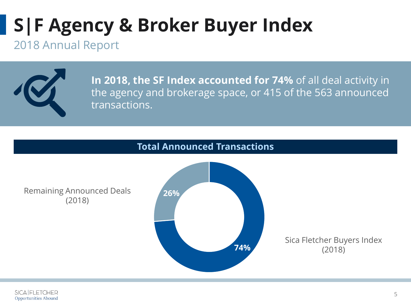#### 2018 Annual Report



**In 2018, the SF Index accounted for 74%** of all deal activity in the agency and brokerage space, or 415 of the 563 announced transactions.

#### **Total Announced Transactions**

Remaining Announced Deals (2018)



Sica Fletcher Buyers Index (2018)

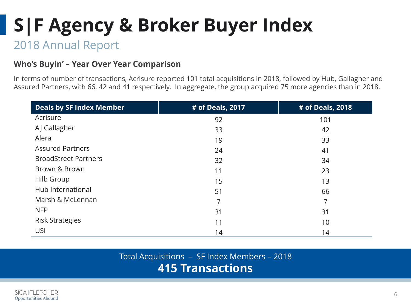### 2018 Annual Report

#### **Who's Buyin' – Year Over Year Comparison**

In terms of number of transactions, Acrisure reported 101 total acquisitions in 2018, followed by Hub, Gallagher and Assured Partners, with 66, 42 and 41 respectively. In aggregate, the group acquired 75 more agencies than in 2018.

| <b>Deals by SF Index Member</b> | # of Deals, 2017 | # of Deals, 2018 |
|---------------------------------|------------------|------------------|
| Acrisure                        | 92               | 101              |
| AJ Gallagher                    | 33               | 42               |
| Alera                           | 19               | 33               |
| <b>Assured Partners</b>         | 24               | 41               |
| <b>BroadStreet Partners</b>     | 32               | 34               |
| Brown & Brown                   | 11               | 23               |
| Hilb Group                      | 15               | 13               |
| Hub International               | 51               | 66               |
| Marsh & McLennan                | 7                | 7                |
| <b>NFP</b>                      | 31               | 31               |
| <b>Risk Strategies</b>          | 11               | 10               |
| USI                             | 14               | 14               |

Total Acquisitions – SF Index Members – 2018 **415 Transactions**

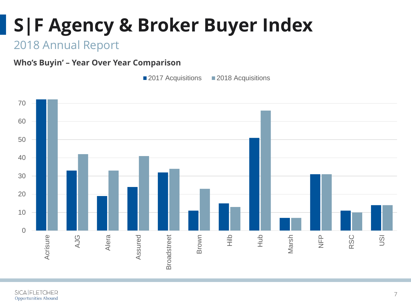### 2018 Annual Report

**Who's Buyin' – Year Over Year Comparison**

**2017 Acquisitions** 2018 Acquisitions

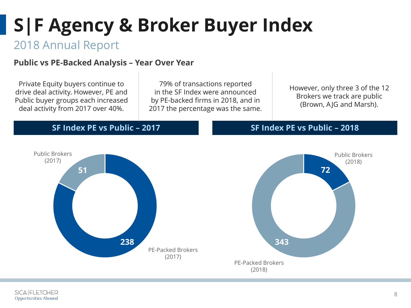### 2018 Annual Report

#### **Public vs PE-Backed Analysis – Year Over Year**

Private Equity buyers continue to drive deal activity. However, PE and Public buyer groups each increased deal activity from 2017 over 40%.

> Public Brokers (2017)

> > **51**

79% of transactions reported in the SF Index were announced by PE-backed firms in 2018, and in 2017 the percentage was the same.

However, only three 3 of the 12 Brokers we track are public (Brown, AJG and Marsh).

#### **SF Index PE vs Public – 2017**

**238**

PE-Packed Brokers (2017)



**SF Index PE vs Public – 2018**

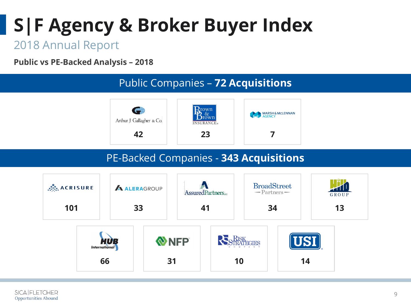### 2018 Annual Report

**Public vs PE-Backed Analysis – 2018**



#### PE-Backed Companies - **343 Acquisitions**

**42 23 7**